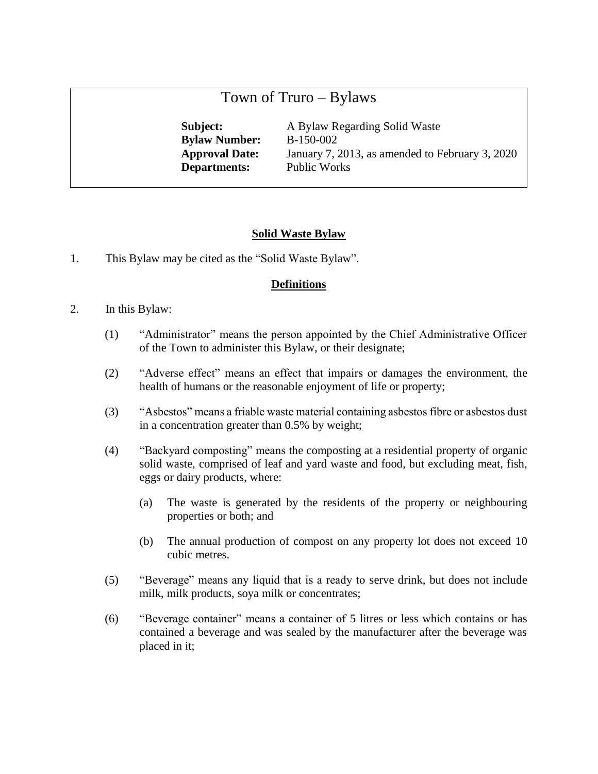# Town of Truro – Bylaws

**Bylaw Number:** B-150-002 **Departments:** Public Works

**Subject:** A Bylaw Regarding Solid Waste **Approval Date:** January 7, 2013, as amended to February 3, 2020

## **Solid Waste Bylaw**

1. This Bylaw may be cited as the "Solid Waste Bylaw".

## **Definitions**

- 2. In this Bylaw:
	- (1) "Administrator" means the person appointed by the Chief Administrative Officer of the Town to administer this Bylaw, or their designate;
	- (2) "Adverse effect" means an effect that impairs or damages the environment, the health of humans or the reasonable enjoyment of life or property;
	- (3) "Asbestos" means a friable waste material containing asbestos fibre or asbestos dust in a concentration greater than 0.5% by weight;
	- (4) "Backyard composting" means the composting at a residential property of organic solid waste, comprised of leaf and yard waste and food, but excluding meat, fish, eggs or dairy products, where:
		- (a) The waste is generated by the residents of the property or neighbouring properties or both; and
		- (b) The annual production of compost on any property lot does not exceed 10 cubic metres.
	- (5) "Beverage" means any liquid that is a ready to serve drink, but does not include milk, milk products, soya milk or concentrates;
	- (6) "Beverage container" means a container of 5 litres or less which contains or has contained a beverage and was sealed by the manufacturer after the beverage was placed in it;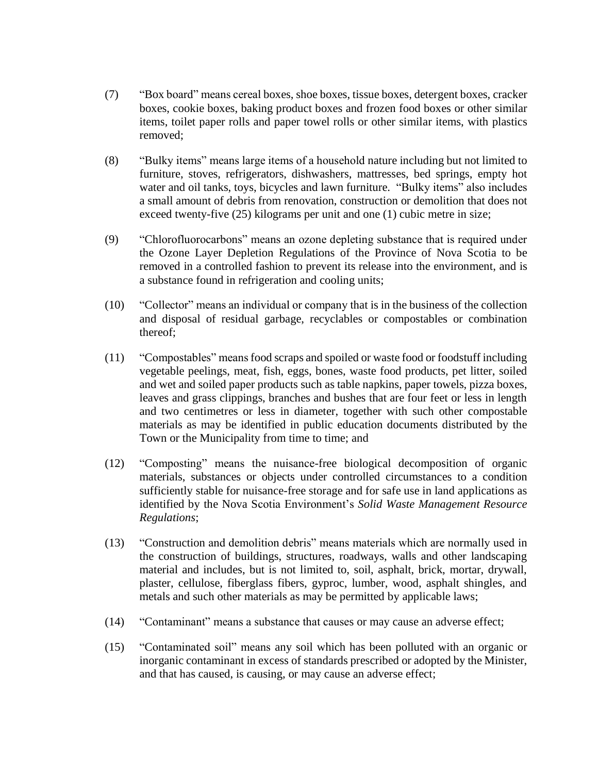- (7) "Box board" means cereal boxes, shoe boxes, tissue boxes, detergent boxes, cracker boxes, cookie boxes, baking product boxes and frozen food boxes or other similar items, toilet paper rolls and paper towel rolls or other similar items, with plastics removed;
- (8) "Bulky items" means large items of a household nature including but not limited to furniture, stoves, refrigerators, dishwashers, mattresses, bed springs, empty hot water and oil tanks, toys, bicycles and lawn furniture. "Bulky items" also includes a small amount of debris from renovation, construction or demolition that does not exceed twenty-five (25) kilograms per unit and one (1) cubic metre in size;
- (9) "Chlorofluorocarbons" means an ozone depleting substance that is required under the Ozone Layer Depletion Regulations of the Province of Nova Scotia to be removed in a controlled fashion to prevent its release into the environment, and is a substance found in refrigeration and cooling units;
- (10) "Collector" means an individual or company that is in the business of the collection and disposal of residual garbage, recyclables or compostables or combination thereof;
- (11) "Compostables" meansfood scraps and spoiled or waste food or foodstuff including vegetable peelings, meat, fish, eggs, bones, waste food products, pet litter, soiled and wet and soiled paper products such as table napkins, paper towels, pizza boxes, leaves and grass clippings, branches and bushes that are four feet or less in length and two centimetres or less in diameter, together with such other compostable materials as may be identified in public education documents distributed by the Town or the Municipality from time to time; and
- (12) "Composting" means the nuisance-free biological decomposition of organic materials, substances or objects under controlled circumstances to a condition sufficiently stable for nuisance-free storage and for safe use in land applications as identified by the Nova Scotia Environment's *Solid Waste Management Resource Regulations*;
- (13) "Construction and demolition debris" means materials which are normally used in the construction of buildings, structures, roadways, walls and other landscaping material and includes, but is not limited to, soil, asphalt, brick, mortar, drywall, plaster, cellulose, fiberglass fibers, gyproc, lumber, wood, asphalt shingles, and metals and such other materials as may be permitted by applicable laws;
- (14) "Contaminant" means a substance that causes or may cause an adverse effect;
- (15) "Contaminated soil" means any soil which has been polluted with an organic or inorganic contaminant in excess of standards prescribed or adopted by the Minister, and that has caused, is causing, or may cause an adverse effect;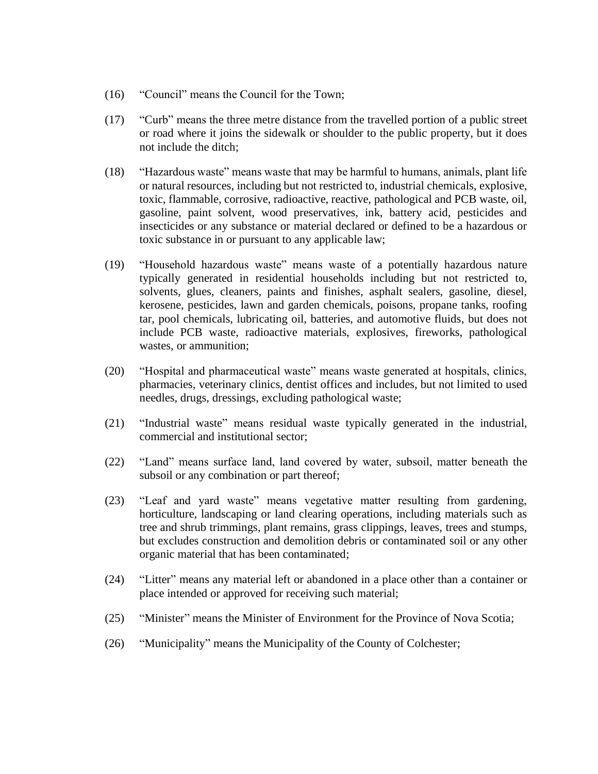- (16) "Council" means the Council for the Town;
- (17) "Curb" means the three metre distance from the travelled portion of a public street or road where it joins the sidewalk or shoulder to the public property, but it does not include the ditch;
- (18) "Hazardous waste" means waste that may be harmful to humans, animals, plant life or natural resources, including but not restricted to, industrial chemicals, explosive, toxic, flammable, corrosive, radioactive, reactive, pathological and PCB waste, oil, gasoline, paint solvent, wood preservatives, ink, battery acid, pesticides and insecticides or any substance or material declared or defined to be a hazardous or toxic substance in or pursuant to any applicable law;
- (19) "Household hazardous waste" means waste of a potentially hazardous nature typically generated in residential households including but not restricted to, solvents, glues, cleaners, paints and finishes, asphalt sealers, gasoline, diesel, kerosene, pesticides, lawn and garden chemicals, poisons, propane tanks, roofing tar, pool chemicals, lubricating oil, batteries, and automotive fluids, but does not include PCB waste, radioactive materials, explosives, fireworks, pathological wastes, or ammunition;
- (20) "Hospital and pharmaceutical waste" means waste generated at hospitals, clinics, pharmacies, veterinary clinics, dentist offices and includes, but not limited to used needles, drugs, dressings, excluding pathological waste;
- (21) "Industrial waste" means residual waste typically generated in the industrial, commercial and institutional sector;
- (22) "Land" means surface land, land covered by water, subsoil, matter beneath the subsoil or any combination or part thereof;
- (23) "Leaf and yard waste" means vegetative matter resulting from gardening, horticulture, landscaping or land clearing operations, including materials such as tree and shrub trimmings, plant remains, grass clippings, leaves, trees and stumps, but excludes construction and demolition debris or contaminated soil or any other organic material that has been contaminated;
- (24) "Litter" means any material left or abandoned in a place other than a container or place intended or approved for receiving such material;
- (25) "Minister" means the Minister of Environment for the Province of Nova Scotia;
- (26) "Municipality" means the Municipality of the County of Colchester;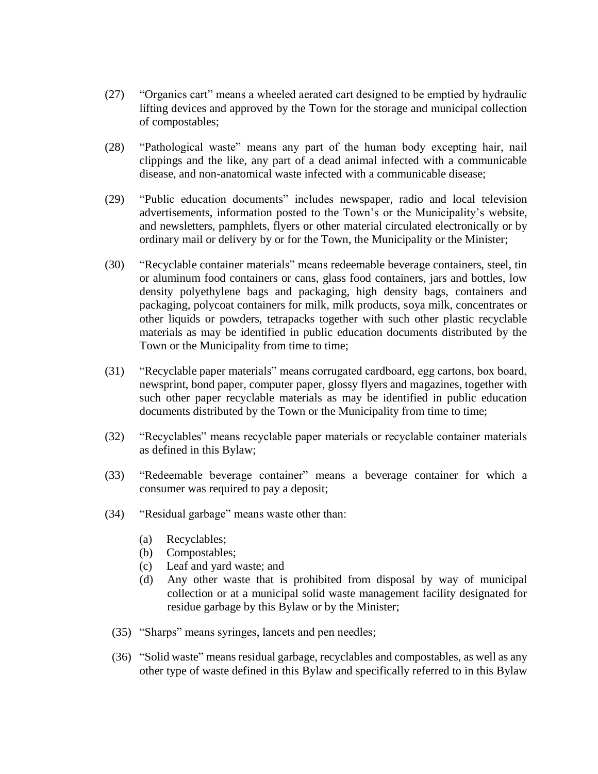- (27) "Organics cart" means a wheeled aerated cart designed to be emptied by hydraulic lifting devices and approved by the Town for the storage and municipal collection of compostables;
- (28) "Pathological waste" means any part of the human body excepting hair, nail clippings and the like, any part of a dead animal infected with a communicable disease, and non-anatomical waste infected with a communicable disease;
- (29) "Public education documents" includes newspaper, radio and local television advertisements, information posted to the Town's or the Municipality's website, and newsletters, pamphlets, flyers or other material circulated electronically or by ordinary mail or delivery by or for the Town, the Municipality or the Minister;
- (30) "Recyclable container materials" means redeemable beverage containers, steel, tin or aluminum food containers or cans, glass food containers, jars and bottles, low density polyethylene bags and packaging, high density bags, containers and packaging, polycoat containers for milk, milk products, soya milk, concentrates or other liquids or powders, tetrapacks together with such other plastic recyclable materials as may be identified in public education documents distributed by the Town or the Municipality from time to time;
- (31) "Recyclable paper materials" means corrugated cardboard, egg cartons, box board, newsprint, bond paper, computer paper, glossy flyers and magazines, together with such other paper recyclable materials as may be identified in public education documents distributed by the Town or the Municipality from time to time;
- (32) "Recyclables" means recyclable paper materials or recyclable container materials as defined in this Bylaw;
- (33) "Redeemable beverage container" means a beverage container for which a consumer was required to pay a deposit;
- (34) "Residual garbage" means waste other than:
	- (a) Recyclables;
	- (b) Compostables;
	- (c) Leaf and yard waste; and
	- (d) Any other waste that is prohibited from disposal by way of municipal collection or at a municipal solid waste management facility designated for residue garbage by this Bylaw or by the Minister;
	- (35) "Sharps" means syringes, lancets and pen needles;
	- (36) "Solid waste" means residual garbage, recyclables and compostables, as well as any other type of waste defined in this Bylaw and specifically referred to in this Bylaw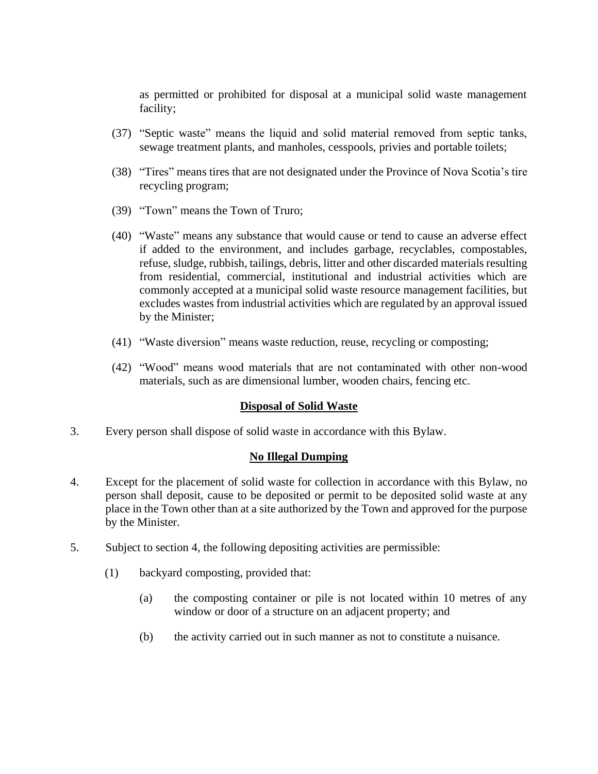as permitted or prohibited for disposal at a municipal solid waste management facility;

- (37) "Septic waste" means the liquid and solid material removed from septic tanks, sewage treatment plants, and manholes, cesspools, privies and portable toilets;
- (38) "Tires" means tires that are not designated under the Province of Nova Scotia's tire recycling program;
- (39) "Town" means the Town of Truro;
- (40) "Waste" means any substance that would cause or tend to cause an adverse effect if added to the environment, and includes garbage, recyclables, compostables, refuse, sludge, rubbish, tailings, debris, litter and other discarded materials resulting from residential, commercial, institutional and industrial activities which are commonly accepted at a municipal solid waste resource management facilities, but excludes wastes from industrial activities which are regulated by an approval issued by the Minister;
- (41) "Waste diversion" means waste reduction, reuse, recycling or composting;
- (42) "Wood" means wood materials that are not contaminated with other non-wood materials, such as are dimensional lumber, wooden chairs, fencing etc.

#### **Disposal of Solid Waste**

3. Every person shall dispose of solid waste in accordance with this Bylaw.

#### **No Illegal Dumping**

- 4. Except for the placement of solid waste for collection in accordance with this Bylaw, no person shall deposit, cause to be deposited or permit to be deposited solid waste at any place in the Town other than at a site authorized by the Town and approved for the purpose by the Minister.
- 5. Subject to section 4, the following depositing activities are permissible:
	- (1) backyard composting, provided that:
		- (a) the composting container or pile is not located within 10 metres of any window or door of a structure on an adjacent property; and
		- (b) the activity carried out in such manner as not to constitute a nuisance.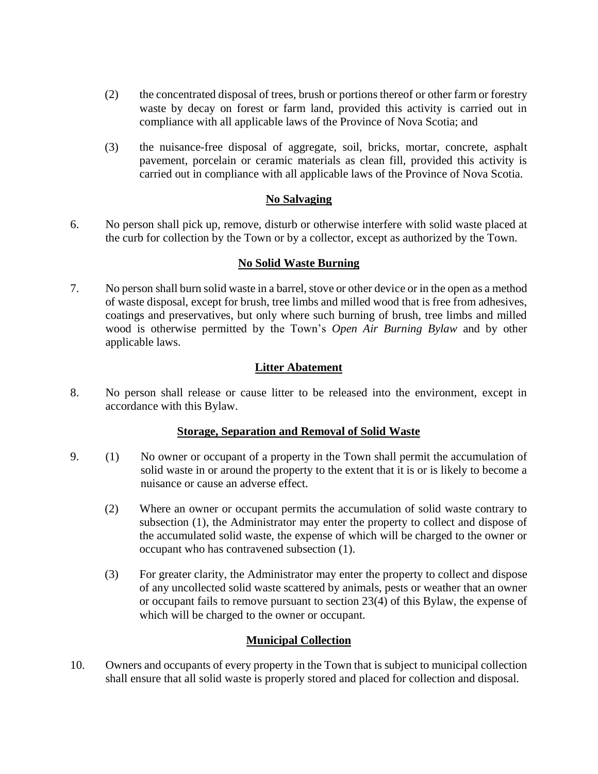- (2) the concentrated disposal of trees, brush or portions thereof or other farm or forestry waste by decay on forest or farm land, provided this activity is carried out in compliance with all applicable laws of the Province of Nova Scotia; and
- (3) the nuisance-free disposal of aggregate, soil, bricks, mortar, concrete, asphalt pavement, porcelain or ceramic materials as clean fill, provided this activity is carried out in compliance with all applicable laws of the Province of Nova Scotia.

# **No Salvaging**

6. No person shall pick up, remove, disturb or otherwise interfere with solid waste placed at the curb for collection by the Town or by a collector, except as authorized by the Town.

## **No Solid Waste Burning**

7. No person shall burn solid waste in a barrel, stove or other device or in the open as a method of waste disposal, except for brush, tree limbs and milled wood that is free from adhesives, coatings and preservatives, but only where such burning of brush, tree limbs and milled wood is otherwise permitted by the Town's *Open Air Burning Bylaw* and by other applicable laws.

# **Litter Abatement**

8. No person shall release or cause litter to be released into the environment, except in accordance with this Bylaw.

#### **Storage, Separation and Removal of Solid Waste**

- 9. (1) No owner or occupant of a property in the Town shall permit the accumulation of solid waste in or around the property to the extent that it is or is likely to become a nuisance or cause an adverse effect.
	- (2) Where an owner or occupant permits the accumulation of solid waste contrary to subsection (1), the Administrator may enter the property to collect and dispose of the accumulated solid waste, the expense of which will be charged to the owner or occupant who has contravened subsection (1).
	- (3) For greater clarity, the Administrator may enter the property to collect and dispose of any uncollected solid waste scattered by animals, pests or weather that an owner or occupant fails to remove pursuant to section 23(4) of this Bylaw, the expense of which will be charged to the owner or occupant.

# **Municipal Collection**

10. Owners and occupants of every property in the Town that is subject to municipal collection shall ensure that all solid waste is properly stored and placed for collection and disposal.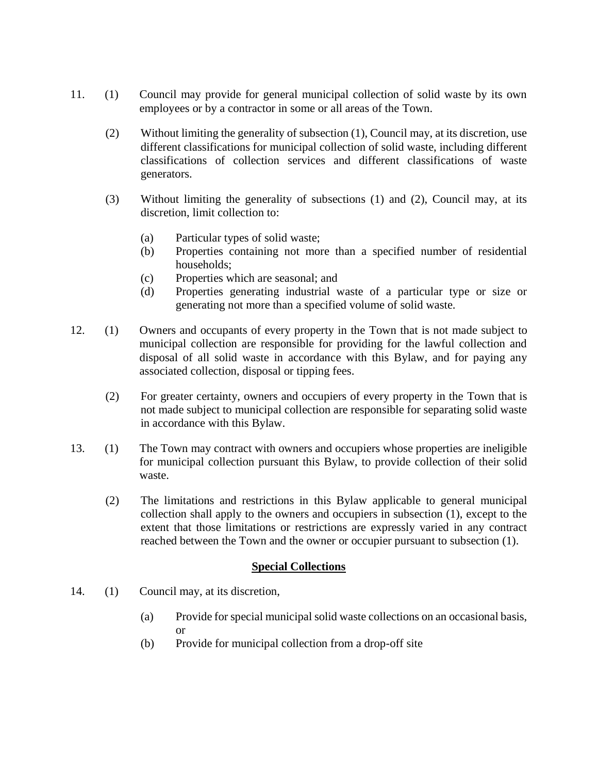- 11. (1) Council may provide for general municipal collection of solid waste by its own employees or by a contractor in some or all areas of the Town.
	- (2) Without limiting the generality of subsection (1), Council may, at its discretion, use different classifications for municipal collection of solid waste, including different classifications of collection services and different classifications of waste generators.
	- (3) Without limiting the generality of subsections (1) and (2), Council may, at its discretion, limit collection to:
		- (a) Particular types of solid waste;
		- (b) Properties containing not more than a specified number of residential households;
		- (c) Properties which are seasonal; and
		- (d) Properties generating industrial waste of a particular type or size or generating not more than a specified volume of solid waste.
- 12. (1) Owners and occupants of every property in the Town that is not made subject to municipal collection are responsible for providing for the lawful collection and disposal of all solid waste in accordance with this Bylaw, and for paying any associated collection, disposal or tipping fees.
	- (2) For greater certainty, owners and occupiers of every property in the Town that is not made subject to municipal collection are responsible for separating solid waste in accordance with this Bylaw.
- 13. (1) The Town may contract with owners and occupiers whose properties are ineligible for municipal collection pursuant this Bylaw, to provide collection of their solid waste.
	- (2) The limitations and restrictions in this Bylaw applicable to general municipal collection shall apply to the owners and occupiers in subsection (1), except to the extent that those limitations or restrictions are expressly varied in any contract reached between the Town and the owner or occupier pursuant to subsection (1).

#### **Special Collections**

- 14. (1) Council may, at its discretion,
	- (a) Provide for special municipal solid waste collections on an occasional basis, or
	- (b) Provide for municipal collection from a drop-off site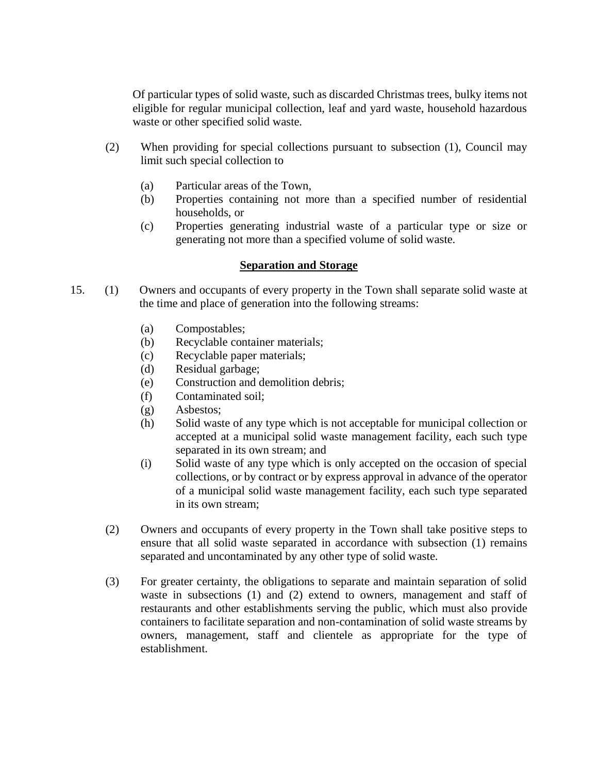Of particular types of solid waste, such as discarded Christmas trees, bulky items not eligible for regular municipal collection, leaf and yard waste, household hazardous waste or other specified solid waste.

- (2) When providing for special collections pursuant to subsection (1), Council may limit such special collection to
	- (a) Particular areas of the Town,
	- (b) Properties containing not more than a specified number of residential households, or
	- (c) Properties generating industrial waste of a particular type or size or generating not more than a specified volume of solid waste.

#### **Separation and Storage**

- 15. (1) Owners and occupants of every property in the Town shall separate solid waste at the time and place of generation into the following streams:
	- (a) Compostables;
	- (b) Recyclable container materials;
	- (c) Recyclable paper materials;
	- (d) Residual garbage;
	- (e) Construction and demolition debris;
	- (f) Contaminated soil;
	- (g) Asbestos;
	- (h) Solid waste of any type which is not acceptable for municipal collection or accepted at a municipal solid waste management facility, each such type separated in its own stream; and
	- (i) Solid waste of any type which is only accepted on the occasion of special collections, or by contract or by express approval in advance of the operator of a municipal solid waste management facility, each such type separated in its own stream;
	- (2) Owners and occupants of every property in the Town shall take positive steps to ensure that all solid waste separated in accordance with subsection (1) remains separated and uncontaminated by any other type of solid waste.
	- (3) For greater certainty, the obligations to separate and maintain separation of solid waste in subsections (1) and (2) extend to owners, management and staff of restaurants and other establishments serving the public, which must also provide containers to facilitate separation and non-contamination of solid waste streams by owners, management, staff and clientele as appropriate for the type of establishment.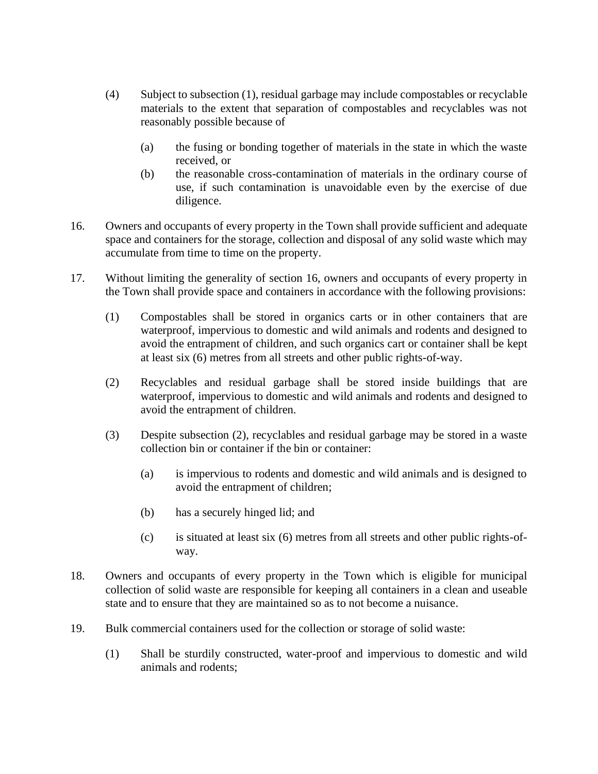- (4) Subject to subsection (1), residual garbage may include compostables or recyclable materials to the extent that separation of compostables and recyclables was not reasonably possible because of
	- (a) the fusing or bonding together of materials in the state in which the waste received, or
	- (b) the reasonable cross-contamination of materials in the ordinary course of use, if such contamination is unavoidable even by the exercise of due diligence.
- 16. Owners and occupants of every property in the Town shall provide sufficient and adequate space and containers for the storage, collection and disposal of any solid waste which may accumulate from time to time on the property.
- 17. Without limiting the generality of section 16, owners and occupants of every property in the Town shall provide space and containers in accordance with the following provisions:
	- (1) Compostables shall be stored in organics carts or in other containers that are waterproof, impervious to domestic and wild animals and rodents and designed to avoid the entrapment of children, and such organics cart or container shall be kept at least six (6) metres from all streets and other public rights-of-way.
	- (2) Recyclables and residual garbage shall be stored inside buildings that are waterproof, impervious to domestic and wild animals and rodents and designed to avoid the entrapment of children.
	- (3) Despite subsection (2), recyclables and residual garbage may be stored in a waste collection bin or container if the bin or container:
		- (a) is impervious to rodents and domestic and wild animals and is designed to avoid the entrapment of children;
		- (b) has a securely hinged lid; and
		- (c) is situated at least six (6) metres from all streets and other public rights-ofway.
- 18. Owners and occupants of every property in the Town which is eligible for municipal collection of solid waste are responsible for keeping all containers in a clean and useable state and to ensure that they are maintained so as to not become a nuisance.
- 19. Bulk commercial containers used for the collection or storage of solid waste:
	- (1) Shall be sturdily constructed, water-proof and impervious to domestic and wild animals and rodents;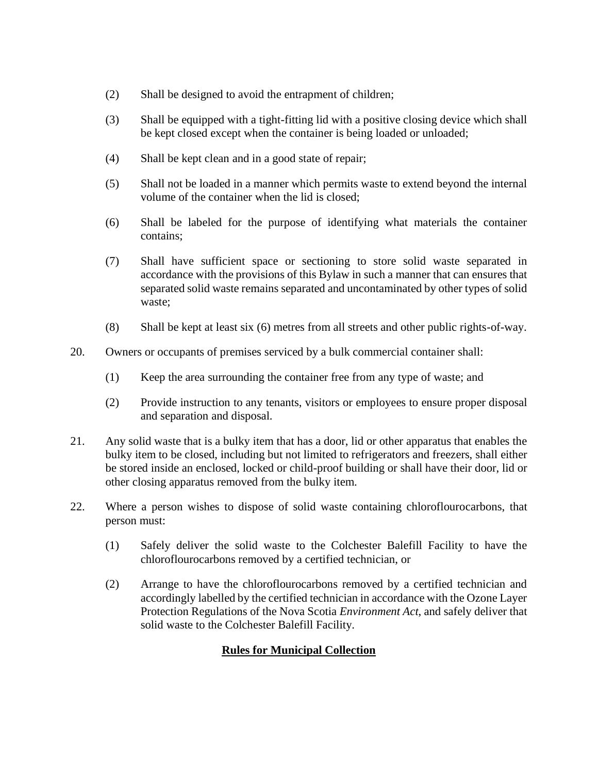- (2) Shall be designed to avoid the entrapment of children;
- (3) Shall be equipped with a tight-fitting lid with a positive closing device which shall be kept closed except when the container is being loaded or unloaded;
- (4) Shall be kept clean and in a good state of repair;
- (5) Shall not be loaded in a manner which permits waste to extend beyond the internal volume of the container when the lid is closed;
- (6) Shall be labeled for the purpose of identifying what materials the container contains;
- (7) Shall have sufficient space or sectioning to store solid waste separated in accordance with the provisions of this Bylaw in such a manner that can ensures that separated solid waste remains separated and uncontaminated by other types of solid waste;
- (8) Shall be kept at least six (6) metres from all streets and other public rights-of-way.
- 20. Owners or occupants of premises serviced by a bulk commercial container shall:
	- (1) Keep the area surrounding the container free from any type of waste; and
	- (2) Provide instruction to any tenants, visitors or employees to ensure proper disposal and separation and disposal.
- 21. Any solid waste that is a bulky item that has a door, lid or other apparatus that enables the bulky item to be closed, including but not limited to refrigerators and freezers, shall either be stored inside an enclosed, locked or child-proof building or shall have their door, lid or other closing apparatus removed from the bulky item.
- 22. Where a person wishes to dispose of solid waste containing chloroflourocarbons, that person must:
	- (1) Safely deliver the solid waste to the Colchester Balefill Facility to have the chloroflourocarbons removed by a certified technician, or
	- (2) Arrange to have the chloroflourocarbons removed by a certified technician and accordingly labelled by the certified technician in accordance with the Ozone Layer Protection Regulations of the Nova Scotia *Environment Act*, and safely deliver that solid waste to the Colchester Balefill Facility.

# **Rules for Municipal Collection**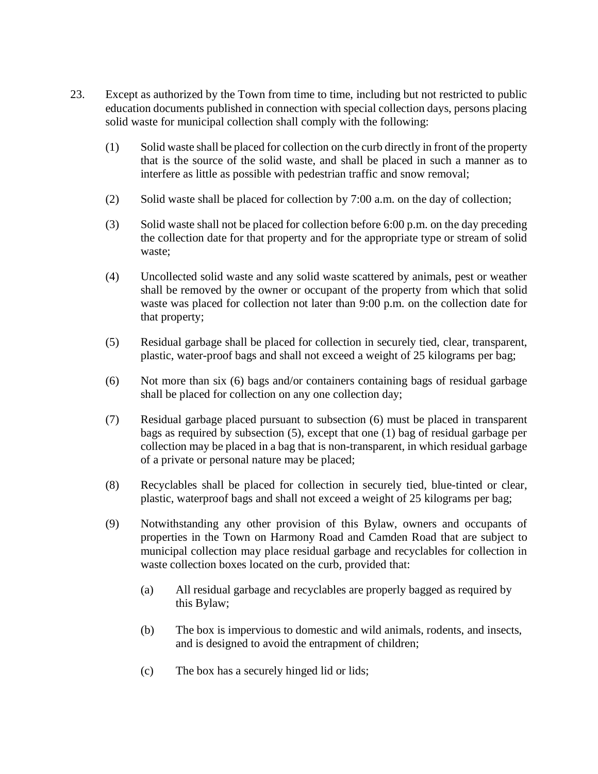- 23. Except as authorized by the Town from time to time, including but not restricted to public education documents published in connection with special collection days, persons placing solid waste for municipal collection shall comply with the following:
	- (1) Solid waste shall be placed for collection on the curb directly in front of the property that is the source of the solid waste, and shall be placed in such a manner as to interfere as little as possible with pedestrian traffic and snow removal;
	- (2) Solid waste shall be placed for collection by 7:00 a.m. on the day of collection;
	- (3) Solid waste shall not be placed for collection before 6:00 p.m. on the day preceding the collection date for that property and for the appropriate type or stream of solid waste;
	- (4) Uncollected solid waste and any solid waste scattered by animals, pest or weather shall be removed by the owner or occupant of the property from which that solid waste was placed for collection not later than 9:00 p.m. on the collection date for that property;
	- (5) Residual garbage shall be placed for collection in securely tied, clear, transparent, plastic, water-proof bags and shall not exceed a weight of 25 kilograms per bag;
	- (6) Not more than six (6) bags and/or containers containing bags of residual garbage shall be placed for collection on any one collection day;
	- (7) Residual garbage placed pursuant to subsection (6) must be placed in transparent bags as required by subsection (5), except that one (1) bag of residual garbage per collection may be placed in a bag that is non-transparent, in which residual garbage of a private or personal nature may be placed;
	- (8) Recyclables shall be placed for collection in securely tied, blue-tinted or clear, plastic, waterproof bags and shall not exceed a weight of 25 kilograms per bag;
	- (9) Notwithstanding any other provision of this Bylaw, owners and occupants of properties in the Town on Harmony Road and Camden Road that are subject to municipal collection may place residual garbage and recyclables for collection in waste collection boxes located on the curb, provided that:
		- (a) All residual garbage and recyclables are properly bagged as required by this Bylaw;
		- (b) The box is impervious to domestic and wild animals, rodents, and insects, and is designed to avoid the entrapment of children;
		- (c) The box has a securely hinged lid or lids;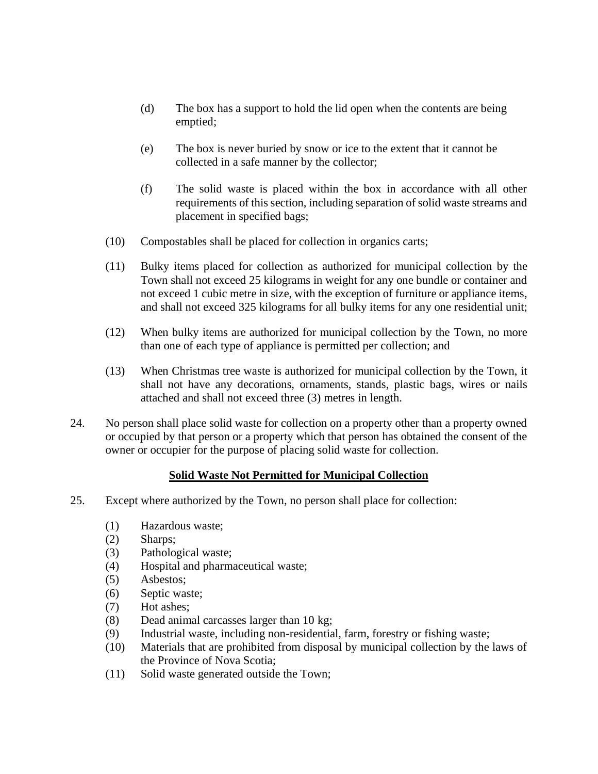- (d) The box has a support to hold the lid open when the contents are being emptied;
- (e) The box is never buried by snow or ice to the extent that it cannot be collected in a safe manner by the collector;
- (f) The solid waste is placed within the box in accordance with all other requirements of this section, including separation of solid waste streams and placement in specified bags;
- (10) Compostables shall be placed for collection in organics carts;
- (11) Bulky items placed for collection as authorized for municipal collection by the Town shall not exceed 25 kilograms in weight for any one bundle or container and not exceed 1 cubic metre in size, with the exception of furniture or appliance items, and shall not exceed 325 kilograms for all bulky items for any one residential unit;
- (12) When bulky items are authorized for municipal collection by the Town, no more than one of each type of appliance is permitted per collection; and
- (13) When Christmas tree waste is authorized for municipal collection by the Town, it shall not have any decorations, ornaments, stands, plastic bags, wires or nails attached and shall not exceed three (3) metres in length.
- 24. No person shall place solid waste for collection on a property other than a property owned or occupied by that person or a property which that person has obtained the consent of the owner or occupier for the purpose of placing solid waste for collection.

# **Solid Waste Not Permitted for Municipal Collection**

- 25. Except where authorized by the Town, no person shall place for collection:
	- (1) Hazardous waste;
	- (2) Sharps;
	- (3) Pathological waste;
	- (4) Hospital and pharmaceutical waste;
	- (5) Asbestos;
	- (6) Septic waste;
	- (7) Hot ashes;
	- (8) Dead animal carcasses larger than 10 kg;
	- (9) Industrial waste, including non-residential, farm, forestry or fishing waste;
	- (10) Materials that are prohibited from disposal by municipal collection by the laws of the Province of Nova Scotia;
	- (11) Solid waste generated outside the Town;